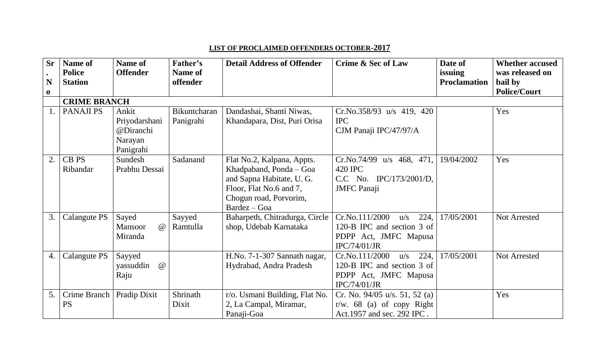## **LIST OF PROCLAIMED OFFENDERS OCTOBER-2017**

| <b>Sr</b><br>N<br>$\mathbf 0$ | <b>Name of</b><br><b>Police</b><br><b>Station</b> | Name of<br><b>Offender</b>                                  | Father's<br><b>Name of</b><br>offender | <b>Detail Address of Offender</b>                                                                                                                       | <b>Crime &amp; Sec of Law</b>                                                                        | Date of<br>issuing<br><b>Proclamation</b> | <b>Whether accused</b><br>was released on<br>bail by<br><b>Police/Court</b> |
|-------------------------------|---------------------------------------------------|-------------------------------------------------------------|----------------------------------------|---------------------------------------------------------------------------------------------------------------------------------------------------------|------------------------------------------------------------------------------------------------------|-------------------------------------------|-----------------------------------------------------------------------------|
|                               | <b>CRIME BRANCH</b>                               |                                                             |                                        |                                                                                                                                                         |                                                                                                      |                                           |                                                                             |
| 1.                            | <b>PANAJI PS</b>                                  | Ankit<br>Priyodarshani<br>@Diranchi<br>Narayan<br>Panigrahi | Bikuntcharan<br>Panigrahi              | Dandashai, Shanti Niwas,<br>Khandapara, Dist, Puri Orisa                                                                                                | $Cr.No.358/93$ u/s 419, 420<br><b>IPC</b><br>CJM Panaji IPC/47/97/A                                  |                                           | Yes                                                                         |
| $\overline{2}$ .              | CB <sub>PS</sub><br>Ribandar                      | Sundesh<br>Prabhu Dessai                                    | Sadanand                               | Flat No.2, Kalpana, Appts.<br>Khadpaband, Ponda - Goa<br>and Sapna Habitate, U. G.<br>Floor, Flat No.6 and 7,<br>Chogun road, Porvorim,<br>Bardez – Goa | Cr.No.74/99 u/s 468, 471,<br>420 IPC<br>C.C No. IPC/173/2001/D,<br><b>JMFC</b> Panaji                | 19/04/2002                                | Yes                                                                         |
| 3.                            | Calangute PS                                      | Sayed<br><b>Mansoor</b><br>$\omega$<br>Miranda              | Sayyed<br>Ramtulla                     | Baharpeth, Chitradurga, Circle<br>shop, Udebab Karnataka                                                                                                | Cr.No.111/2000<br>224,<br>u/s<br>120-B IPC and section 3 of<br>PDPP Act, JMFC Mapusa<br>IPC/74/01/JR | 17/05/2001                                | Not Arrested                                                                |
| 4.                            | Calangute PS                                      | Sayyed<br>$\omega$<br>yassuddin<br>Raju                     |                                        | H.No. 7-1-307 Sannath nagar,<br>Hydrabad, Andra Pradesh                                                                                                 | Cr.No.111/2000<br>224,<br>u/s<br>120-B IPC and section 3 of<br>PDPP Act, JMFC Mapusa<br>IPC/74/01/JR | 17/05/2001                                | Not Arrested                                                                |
| 5.                            | Crime Branch<br><b>PS</b>                         | Pradip Dixit                                                | Shrinath<br>Dixit                      | $\overline{r/o}$ . Usmani Building, Flat No.<br>2, La Campal, Miramar,<br>Panaji-Goa                                                                    | Cr. No. $94/05$ u/s. 51, 52 (a)<br>$r/w. 68$ (a) of copy Right<br>Act.1957 and sec. 292 IPC.         |                                           | Yes                                                                         |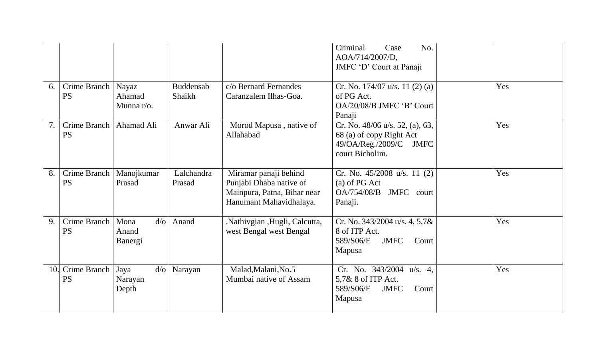|     |                           |                                    |                            |                                                                                                            | Criminal<br>Case<br>No.<br>AOA/714/2007/D,<br>JMFC 'D' Court at Panaji                                             |     |
|-----|---------------------------|------------------------------------|----------------------------|------------------------------------------------------------------------------------------------------------|--------------------------------------------------------------------------------------------------------------------|-----|
| 6.  | Crime Branch<br><b>PS</b> | Nayaz<br>Ahamad<br>Munna r/o.      | <b>Buddensab</b><br>Shaikh | c/o Bernard Fernandes<br>Caranzalem Ilhas-Goa.                                                             | Cr. No. $174/07$ u/s. $11$ (2) (a)<br>of PG Act.<br>OA/20/08/B JMFC 'B' Court<br>Panaji                            | Yes |
| 7.  | Crime Branch<br><b>PS</b> | Ahamad Ali                         | Anwar Ali                  | Morod Mapusa, native of<br>Allahabad                                                                       | Cr. No. 48/06 u/s. 52, (a), 63,<br>68 (a) of copy Right Act<br>49/OA/Reg./2009/C<br><b>JMFC</b><br>court Bicholim. | Yes |
| 8.  | Crime Branch<br><b>PS</b> | Manojkumar<br>Prasad               | Lalchandra<br>Prasad       | Miramar panaji behind<br>Punjabi Dhaba native of<br>Mainpura, Patna, Bihar near<br>Hanumant Mahavidhalaya. | Cr. No. $45/2008$ u/s. 11 (2)<br>(a) of $PG$ Act<br>JMFC court<br>OA/754/08/B<br>Panaji.                           | Yes |
| 9.  | Crime Branch<br><b>PS</b> | Mona<br>$d$ /0<br>Anand<br>Banergi | Anand                      | .Nathivgian ,Hugli, Calcutta,<br>west Bengal west Bengal                                                   | Cr. No. $343/2004$ u/s. 4, $5,7$ &<br>8 of ITP Act.<br>589/S06/E<br><b>JMFC</b><br>Court<br>Mapusa                 | Yes |
| 10. | Crime Branch<br><b>PS</b> | Jaya<br>$d$ /0<br>Narayan<br>Depth | Narayan                    | Malad, Malani, No.5<br>Mumbai native of Assam                                                              | Cr. No. $343/2004$ u/s. 4,<br>5,7& 8 of ITP Act.<br><b>JMFC</b><br>589/S06/E<br>Court<br>Mapusa                    | Yes |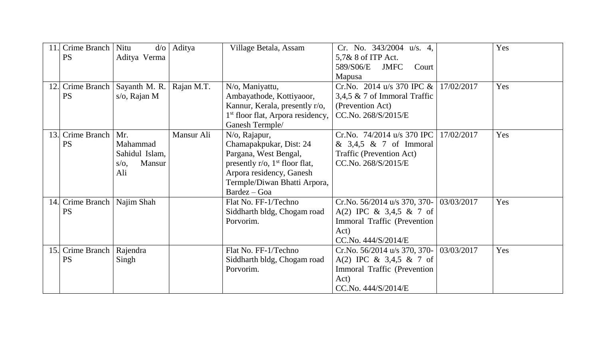|     | Crime Branch     | Nitu<br>$d$ /0           | Aditya     | Village Betala, Assam                         | Cr. No. $343/2004$ u/s. 4,        |            | Yes |
|-----|------------------|--------------------------|------------|-----------------------------------------------|-----------------------------------|------------|-----|
|     | <b>PS</b>        | Aditya Verma             |            |                                               | 5,7& 8 of ITP Act.                |            |     |
|     |                  |                          |            |                                               | <b>JMFC</b><br>589/S06/E<br>Court |            |     |
|     |                  |                          |            |                                               | Mapusa                            |            |     |
|     | Crime Branch     | Sayanth M. R.            | Rajan M.T. | N/o, Maniyattu,                               | Cr.No. 2014 u/s 370 IPC $&$       | 17/02/2017 | Yes |
|     | <b>PS</b>        | $s/o$ , Rajan M          |            | Ambayathode, Kottiyaoor,                      | 3,4,5 $\&$ 7 of Immoral Traffic   |            |     |
|     |                  |                          |            | Kannur, Kerala, presently r/o,                | (Prevention Act)                  |            |     |
|     |                  |                          |            | 1 <sup>st</sup> floor flat, Arpora residency, | CC.No. 268/S/2015/E               |            |     |
|     |                  |                          |            | Ganesh Termple/                               |                                   |            |     |
|     | 13. Crime Branch | Mr.                      | Mansur Ali | N/o, Rajapur,                                 | Cr.No. 74/2014 u/s 370 IPC        | 17/02/2017 | Yes |
|     | <b>PS</b>        | Mahammad                 |            | Chamapakpukar, Dist: 24                       | & 3,4,5 & 7 of Immoral            |            |     |
|     |                  | Sahidul Islam,           |            | Pargana, West Bengal,                         | Traffic (Prevention Act)          |            |     |
|     |                  | <b>Mansur</b><br>$S/O$ , |            | presently r/o, $1st$ floor flat,              | CC.No. 268/S/2015/E               |            |     |
|     |                  | Ali                      |            | Arpora residency, Ganesh                      |                                   |            |     |
|     |                  |                          |            | Termple/Diwan Bhatti Arpora,                  |                                   |            |     |
|     |                  |                          |            | Bardez – Goa                                  |                                   |            |     |
|     | 14. Crime Branch | Najim Shah               |            | Flat No. FF-1/Techno                          | Cr.No. 56/2014 u/s 370, 370-      | 03/03/2017 | Yes |
|     | <b>PS</b>        |                          |            | Siddharth bldg, Chogam road                   | A(2) IPC & 3,4,5 & 7 of           |            |     |
|     |                  |                          |            | Porvorim.                                     | Immoral Traffic (Prevention       |            |     |
|     |                  |                          |            |                                               | Act)                              |            |     |
|     |                  |                          |            |                                               | CC.No. 444/S/2014/E               |            |     |
| 15. | Crime Branch     | Rajendra                 |            | Flat No. FF-1/Techno                          | Cr.No. 56/2014 u/s 370, 370-      | 03/03/2017 | Yes |
|     | <b>PS</b>        | Singh                    |            | Siddharth bldg, Chogam road                   | A(2) IPC & 3,4,5 & 7 of           |            |     |
|     |                  |                          |            | Porvorim.                                     | Immoral Traffic (Prevention       |            |     |
|     |                  |                          |            |                                               | Act)                              |            |     |
|     |                  |                          |            |                                               | CC.No. 444/S/2014/E               |            |     |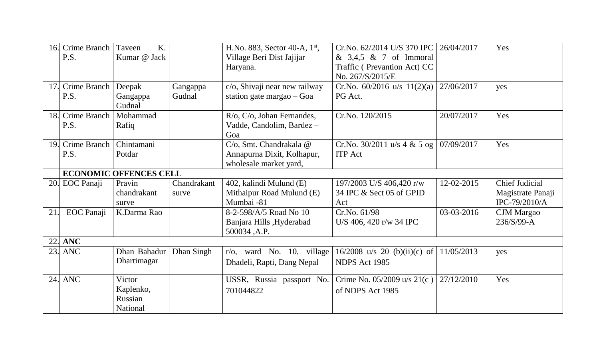| 16.        | Crime Branch      | Taveen<br>K.                  |             | H.No. 883, Sector 40-A, 1st,     | Cr.No. 62/2014 U/S 370 IPC      | 26/04/2017 | Yes                   |
|------------|-------------------|-------------------------------|-------------|----------------------------------|---------------------------------|------------|-----------------------|
|            | P.S.              | Kumar @ Jack                  |             | Village Beri Dist Jajijar        | & 3,4,5 & 7 of Immoral          |            |                       |
|            |                   |                               |             | Haryana.                         | Traffic (Prevantion Act) CC     |            |                       |
|            |                   |                               |             |                                  | No. 267/S/2015/E                |            |                       |
| 17         | Crime Branch      | Deepak                        | Gangappa    | c/o, Shivaji near new railway    | Cr.No. $60/2016$ u/s $11(2)(a)$ | 27/06/2017 | yes                   |
|            | P.S.              | Gangappa                      | Gudnal      | station gate margao – Goa        | PG Act.                         |            |                       |
|            |                   | Gudnal                        |             |                                  |                                 |            |                       |
| 18.        | Crime Branch      | Mohammad                      |             | $R$ /o, $C$ /o, Johan Fernandes, | Cr.No. 120/2015                 | 20/07/2017 | Yes                   |
|            | P.S.              | Rafiq                         |             | Vadde, Candolim, Bardez -        |                                 |            |                       |
|            |                   |                               |             | Goa                              |                                 |            |                       |
| 19.        | Crime Branch      | Chintamani                    |             | C/o, Smt. Chandrakala @          | Cr.No. $30/2011$ u/s 4 & 5 og   | 07/09/2017 | Yes                   |
|            | P.S.              | Potdar                        |             | Annapurna Dixit, Kolhapur,       | <b>ITP</b> Act                  |            |                       |
|            |                   |                               |             | wholesale market yard,           |                                 |            |                       |
|            |                   | <b>ECONOMIC OFFENCES CELL</b> |             |                                  |                                 |            |                       |
| <b>20.</b> | <b>EOC</b> Panaji | Pravin                        | Chandrakant | 402, kalindi Mulund (E)          | 197/2003 U/S 406,420 r/w        | 12-02-2015 | <b>Chief Judicial</b> |
|            |                   | chandrakant                   | surve       | Mithaipur Road Mulund (E)        | 34 IPC & Sect 05 of GPID        |            | Magistrate Panaji     |
|            |                   | surve                         |             | Mumbai -81                       | Act                             |            | IPC-79/2010/A         |
| 21         | <b>EOC</b> Panaji | K.Darma Rao                   |             | 8-2-598/A/5 Road No 10           | Cr.No. 61/98                    | 03-03-2016 | <b>CJM</b> Margao     |
|            |                   |                               |             | Banjara Hills , Hyderabad        | U/S 406, 420 r/w 34 IPC         |            | $236/S/99-A$          |
|            |                   |                               |             | 500034, A.P.                     |                                 |            |                       |
| 22.        | <b>ANC</b>        |                               |             |                                  |                                 |            |                       |
| 23.        | ANC               | Dhan Bahadur                  | Dhan Singh  | $r/o$ , ward No. 10, village     | $16/2008$ u/s 20 (b)(ii)(c) of  | 11/05/2013 | yes                   |
|            |                   | Dhartimagar                   |             | Dhadeli, Rapti, Dang Nepal       | NDPS Act 1985                   |            |                       |
|            |                   |                               |             |                                  |                                 |            |                       |
| 24.        | <b>ANC</b>        | Victor                        |             | USSR, Russia passport No.        | Crime No. $05/2009$ u/s $21(c)$ | 27/12/2010 | Yes                   |
|            |                   | Kaplenko,                     |             | 701044822                        | of NDPS Act 1985                |            |                       |
|            |                   | Russian                       |             |                                  |                                 |            |                       |
|            |                   | <b>National</b>               |             |                                  |                                 |            |                       |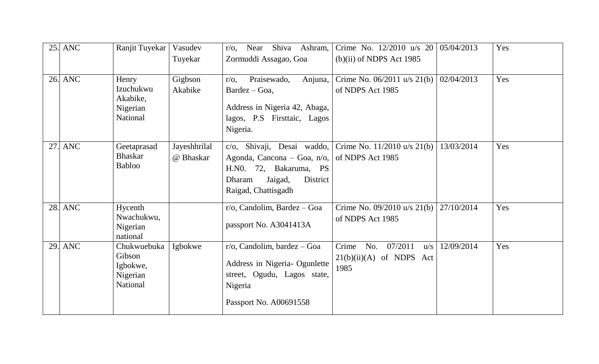| 25. | <b>ANC</b> | Ranjit Tuyekar                                                   | Vasudev<br>Tuyekar        | Near<br>Shiva<br>Ashram,<br>$r/\sigma$ .<br>Zormuddi Assagao, Goa                                                                              | Crime No. 12/2010 u/s 20<br>$(b)(ii)$ of NDPS Act 1985               | 05/04/2013 | Yes |
|-----|------------|------------------------------------------------------------------|---------------------------|------------------------------------------------------------------------------------------------------------------------------------------------|----------------------------------------------------------------------|------------|-----|
| 26. | <b>ANC</b> | Henry<br>Izuchukwu<br>Akabike,<br>Nigerian<br><b>National</b>    | Gigbson<br>Akabike        | Praisewado,<br>Anjuna,<br>$r/\sigma$ ,<br>Bardez – Goa,<br>Address in Nigeria 42, Abaga,<br>lagos, P.S Firsttaic, Lagos<br>Nigeria.            | Crime No. 06/2011 u/s 21(b)<br>of NDPS Act 1985                      | 02/04/2013 | Yes |
| 27. | <b>ANC</b> | Geetaprasad<br><b>Bhaskar</b><br><b>Babloo</b>                   | Jayeshhrilal<br>@ Bhaskar | c/o, Shivaji, Desai waddo,<br>Agonda, Cancona – Goa, n/o,<br>H.N0.<br>72, Bakaruma, PS<br>District<br>Jaigad,<br>Dharam<br>Raigad, Chattisgadh | Crime No. $11/2010$ u/s $21(b)$<br>of NDPS Act 1985                  | 13/03/2014 | Yes |
| 28. | <b>ANC</b> | Hycenth<br>Nwachukwu,<br>Nigerian<br>national                    |                           | r/o, Candolim, Bardez - Goa<br>passport No. A3041413A                                                                                          | Crime No. 09/2010 u/s 21(b)<br>of NDPS Act 1985                      | 27/10/2014 | Yes |
| 29. | <b>ANC</b> | Chukwuebuka<br>Gibson<br>Igbokwe,<br>Nigerian<br><b>National</b> | Igbokwe                   | $r/o$ , Candolim, bardez – Goa<br>Address in Nigeria- Ogunlette<br>street, Ogudu, Lagos state,<br>Nigeria<br>Passport No. A00691558            | Crime<br>07/2011<br>No.<br>u/s<br>$21(b)(ii)(A)$ of NDPS Act<br>1985 | 12/09/2014 | Yes |